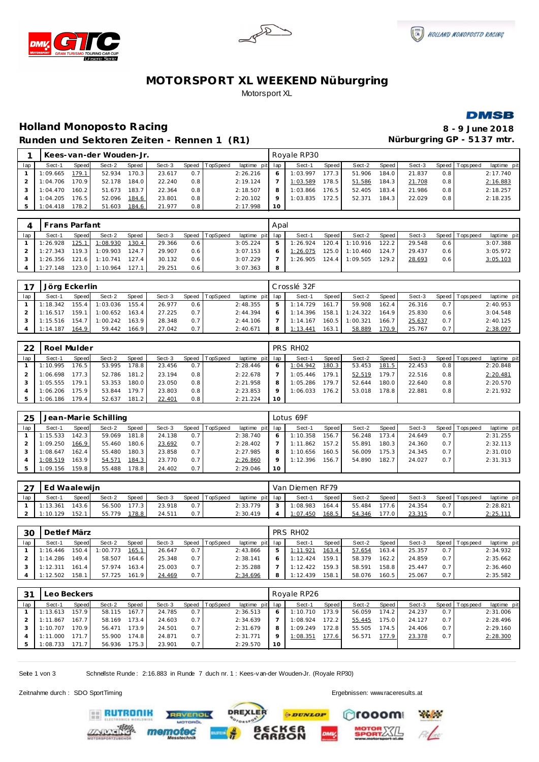





# **MOTORSPORT XL WEEKEND Nüburgring** Motorsport XL



### **Holland Monoposto Racing 8 - 9 June 2018** Runden und Sektoren Zeiten - Rennen 1 (R1) **Nürburgring GP - 5137 mtr.**

|     |          |        | Kees-van-der Wouden-Jr. |       |        |       |          |          |         | Rovale RP30 |       |        |       |        |     |                |             |
|-----|----------|--------|-------------------------|-------|--------|-------|----------|----------|---------|-------------|-------|--------|-------|--------|-----|----------------|-------------|
| lap | Sect-1   | Speed  | Sect-2                  | Speed | Sect-3 | Speed | TopSpeed | laptime  | pit lap | Sect-1      | Speed | Sect-2 | Speed | Sect-3 |     | Speed Topspeed | laptime pit |
|     | 1:09.665 | 179.1  | 52.934                  | 170.3 | 23.617 | 0.7   |          | 2:26.216 | 6       | 1:03.997    | 177.3 | 51.906 | 184.0 | 21.837 | 0.8 |                | 2:17.740    |
|     | 1:04.706 | 170.9  | 52.178                  | 184.0 | 22.240 | 0.8   |          | 2:19.124 |         | 1:03.589    | 178.5 | 51.586 | 184.3 | 21.708 | 0.8 |                | 2:16.883    |
|     | 1:04.470 | 160.21 | 51.673                  | 183.7 | 22.364 | 0.8   |          | 2:18.507 |         | 1:03.866    | 176.5 | 52.405 | 183.4 | 21.986 | 0.8 |                | 2:18.257    |
|     | 1:04.205 | 176.51 | 52.096                  | 184.6 | 23.801 | 0.8   |          | 2:20.102 | $\circ$ | 1:03.835    | 172.5 | 52.371 | 184.3 | 22.029 | 0.8 |                | 2:18.235    |
|     | 1:04.418 | 178.2  | 51.603                  | 184.6 | 21.977 | 0.8   |          | 2:17.998 | 10      |             |       |        |       |        |     |                |             |

|     | l Frans Parfant |              |                      |       |        |     |                  |                 | Apal |                  |                    |                |       |        |      |                 |             |
|-----|-----------------|--------------|----------------------|-------|--------|-----|------------------|-----------------|------|------------------|--------------------|----------------|-------|--------|------|-----------------|-------------|
| lap | Sect-1          | <b>Speed</b> | Sect-2               | Speed | Sect-3 |     | Speed   TopSpeed | laptime pit lap |      | Sect-1           | Speed              | Sect-2         | Speed | Sect-3 |      | Speed Tops peed | laptime pit |
|     | 1:26.928        | 125.1        | 1:08.930             | 130.4 | 29.366 | 0.6 |                  | 3:05.224        | 5    | 1:26.924         | 120.4 <sub>1</sub> | 1:10.916       | 122.2 | 29.548 | 0.61 |                 | 3:07.388    |
|     | 1:27.343        |              | 119.3 1:09.903       | 124.7 | 29.907 | 0.6 |                  | 3:07.153        | 6    | 1:26.075         |                    | 125.0 1:10.460 | 124.7 | 29.437 | 0.61 |                 | 3:05.972    |
|     | 1:26.356        |              | 121.6 1:10.741 127.4 |       | 30.132 | 0.6 |                  | 3:07.229        |      | $1:26.905$ 124.4 |                    | 1:09.505       | 129.2 | 28.693 | 0.61 |                 | 3:05.103    |
|     | 1:27.148        | 123.0        | 1:10.964             | 127.1 | 29.251 | 0.6 |                  | 3:07.363        | - 8  |                  |                    |                |       |        |      |                 |             |

| 7 <sub>7</sub> | Jörg Eckerlin |       |          |              |        |     |                |             |     | Crosslé 32F |       |          |        |        |         |           |             |
|----------------|---------------|-------|----------|--------------|--------|-----|----------------|-------------|-----|-------------|-------|----------|--------|--------|---------|-----------|-------------|
| lap            | Sect-′        | Speed | Sect-2   | <b>Speed</b> | Sect-3 |     | Speed TopSpeed | laptime pit | lap | Sect-1      | Speed | Sect-2   | Speed  | Sect-3 | Speed T | Tops peed | laptime pit |
|                | 1:18.342      | 155.4 | 1:03.036 | 155.4        | 26.977 | 0.6 |                | 2:48.355    | ь   | 1:14.729    | 161.7 | 59.908   | 162.41 | 26.316 | 0.7     |           | 2:40.953    |
|                | 1:16.517      | 159.1 | 1:00.652 | 163.4        | 27.225 | 0.7 |                | 2:44.394    | 6   | 1:14.396    | 158.1 | 1:24.322 | 164.9  | 25.830 | 0.6     |           | 3:04.548    |
|                | 1:15.516      | 154.  | 1:00.242 | 163.9        | 28.348 | 0.7 |                | 2: 44.106   |     | 1:14.167    | 160.5 | 1:00.321 | 166.7  | 25.637 | 0.7     |           | 2:40.125    |
|                | 1:14.187      | 164.9 | 59.442   | 166.9        | 27.042 | 0.7 |                | 2:40.671    | 8   | 1:13.44     | 163.1 | 58.889   | 170.9. | 25.767 | 0.7     |           | 2:38.097    |

| 22  | Roel Mulder |       |        |       |        |     |                  |                 |         | PRS RH <sub>02</sub> |       |        |         |        |     |                 |             |
|-----|-------------|-------|--------|-------|--------|-----|------------------|-----------------|---------|----------------------|-------|--------|---------|--------|-----|-----------------|-------------|
| lap | Sect-1      | Speed | Sect-2 | Speed | Sect-3 |     | Speed   TopSpeed | laptime pit lap |         | Sect-1               | Speed | Sect-2 | Speed I | Sect-3 |     | Speed Tops peed | laptime pit |
|     | 1:10.995    | 176.5 | 53.995 | 178.8 | 23.456 | 0.7 |                  | 2:28.446        |         | 1:04.942             | 180.3 | 53.453 | 181.5   | 22.453 | 0.8 |                 | 2:20.848    |
|     | 1:06.698    | 177.3 | 52.786 | 181.2 | 23.194 | 0.8 |                  | 2:22.678        |         | 1:05.446             | 179.1 | 52.519 | 179.7   | 22.516 | 0.8 |                 | 2:20.481    |
|     | 1:05.555    | 179.1 | 53.353 | 180.0 | 23.050 | 0.8 |                  | 2:21.958        | 8       | 1:05.286             | 179.7 | 52.644 | 180.0   | 22.640 | 0.8 |                 | 2:20.570    |
|     | 1:06.206    | 175.9 | 53.844 | 179.7 | 23.803 | 0.8 |                  | 2:23.853        | $\circ$ | 1:06.033             | 176.2 | 53.018 | 178.8   | 22.881 | 0.8 |                 | 2:21.932    |
|     | I:06.186    | 179.4 | 52.637 | 181.2 | 22.401 | 0.8 |                  | 2:21.224        | 10      |                      |       |        |         |        |     |                 |             |

| 25  |          |       | Jean-Marie Schilling |       |        |     |                  |             |         | Lotus 69F |       |        |       |        |     |                |             |
|-----|----------|-------|----------------------|-------|--------|-----|------------------|-------------|---------|-----------|-------|--------|-------|--------|-----|----------------|-------------|
| lap | Sect-1   | Speed | Sect-2               | Speed | Sect-3 |     | Speed   TopSpeed | laptime pit | lap     | Sect-1    | Speed | Sect-2 | Speed | Sect-3 |     | Speed Topspeed | laptime pit |
|     | 1:15.533 | 142.3 | 59.069               | 181.8 | 24.138 | 0.7 |                  | 2:38.740    | 6       | 1:10.358  | 156.7 | 56.248 | 173.4 | 24.649 | 0.7 |                | 2:31.255    |
|     | :09.250  | 166.9 | 55.460               | 180.6 | 23.692 | 0.7 |                  | 2:28.402    |         | 1:11.862  | 157.2 | 55.891 | 180.3 | 24.360 | 0.7 |                | 2:32.113    |
|     | :08.647  | 162.4 | 55.480               | 180.3 | 23.858 | 0.7 |                  | 2:27.985    | 8       | 1:10.656  | 160.5 | 56.009 | 175.3 | 24.345 | 0.7 |                | 2:31.010    |
|     | 1:08.519 | 163.9 | 54.571               | 184.3 | 23.770 | 0.7 |                  | 2:26.860    | $\circ$ | 1:12.396  | 156.7 | 54.890 | 182.7 | 24.027 | 0.7 |                | 2:31.313    |
| -5  | 1:09.156 | 159.8 | 55.488               | 178.8 | 24.402 | 0.7 |                  | 2:29.046    | 10      |           |       |        |       |        |     |                |             |

| $\sim$ $\rightarrow$<br>∠ | Ed Waalewijn |              |        |       |        |     |                |                 | Van Diemen RF79 |       |        |       |        |                |                   |
|---------------------------|--------------|--------------|--------|-------|--------|-----|----------------|-----------------|-----------------|-------|--------|-------|--------|----------------|-------------------|
| lap                       | Sect-1       | <b>Speed</b> | Sect-2 | Speed | Sect-3 |     | Speed TopSpeed | laptime pit lap | Sect-1          | Speed | Sect-2 | Speed | Sect-3 | Speed Topspeed | laptime pit       |
|                           | 1:13.361     | 143.6        | 56.500 | 177.3 | 23.918 | 0.7 |                | 2:33.779        | :08.983         | 164.4 | 55.484 | 177.6 | 24.354 |                | 2:28.821          |
|                           | 1:10.129     | 152.1        | 55.779 | 178.8 | 24.511 | 0.7 |                | 2:30.419        | 1:07.450        | 168.5 | 54.346 | 177.0 | 23.315 |                | <u> 2: 25.11'</u> |

| 30  | Detlef März |                       |          |       |        |       |          |          |         | PRS RH <sub>02</sub> |       |        |       |        |       |           |             |
|-----|-------------|-----------------------|----------|-------|--------|-------|----------|----------|---------|----------------------|-------|--------|-------|--------|-------|-----------|-------------|
| lap | Sect-1      | Speed                 | Sect-2   | Speed | Sect-3 | Speed | TopSpeed | laptime  | pit lap | Sect-1               | Speed | Sect-2 | Speed | Sect-3 | Speed | Tops peed | laptime pit |
|     | 1:16.446    | 150                   | 1:00.773 | 165.7 | 26.647 | 0.7   |          | 2:43.866 |         | 1:11.921             | 163.4 | 57.654 | 163.4 | 25.357 | 0.7   |           | 2:34.932    |
|     | 1:14.286    | 149.4                 | 58.507   | 164.6 | 25.348 | 0.7   |          | 2:38.141 |         | 1:12.424             | 159.1 | 58.379 | 162.2 | 24.859 | 0.7   |           | 2:35.662    |
|     | 1:12.311    | 161<br>$\overline{4}$ | 57.974   | 163.4 | 25.003 | 0.7   |          | 2:35.288 |         | 1:12.422             | 159.3 | 58.591 | 158.8 | 25.447 | 0.7   |           | 2:36.460    |
|     | 1:12.502    | 158.                  | 57.725   | 161.9 | 24.469 | 0.7   |          | 2:34.696 | 8       | 1:12.439             | 158.1 | 58.076 | 160.5 | 25.067 | 0.7   |           | 2:35.582    |

| 31  |          | ∟eo Beckers    |        |       |        |       |          |             |         | Royale RP26 |       |        |       |        |       |            |             |
|-----|----------|----------------|--------|-------|--------|-------|----------|-------------|---------|-------------|-------|--------|-------|--------|-------|------------|-------------|
| lap | Sect-1   | Speed          | Sect-2 | Speed | Sect-3 | Speed | TopSpeed | laptime pit | lap     | Sect-1      | Speed | Sect-2 | Speed | Sect-3 | Speed | T ops peed | laptime pit |
|     | 1:13.613 | 157.9          | 58.115 | 167.7 | 24.785 | 0.7   |          | 2:36.513    | 6       | 1:10.710    | 73.9  | 56.059 | 174.2 | 24.237 | 0.7   |            | 2:31.006    |
|     | 1:11.867 | 167.7          | 58.169 | 173.4 | 24.603 | 0.7   |          | 2:34.639    |         | 1:08.924    | 172.2 | 55.445 | 175.0 | 24.127 | 0.7   |            | 2:28.496    |
|     | 1:10.707 | '70.9          | 56.471 | 173.9 | 24.501 | 0.7   |          | 2:31.679    | 8       | 1:09.249    | 172.8 | 55.505 | 174.5 | 24.406 | 0.7   |            | 2:29.160    |
|     | .000     |                | 55.900 | 174.8 | 24.871 | 0.7   |          | 2:31.771    | $\circ$ | 1:08.351    | 177.6 | 56.571 | 177.9 | 23.378 | 0.7   |            | 2:28.300    |
|     | 1:08.733 | $\overline{ }$ | 56.936 | 175.3 | 23.901 | 0.7   |          | 2:29.570    | 10      |             |       |        |       |        |       |            |             |

Seite 1 von 3 Schnellste Runde : 2:16.883 in Runde 7 duch nr. 1 : Kees-van-der Wouden-Jr. (Royale RP30)

Zeitnahme durch : SDO SportTiming Ergebnissen: [www.raceresults.a](www.raceresults.at)t

**EE RUTRONIK** 



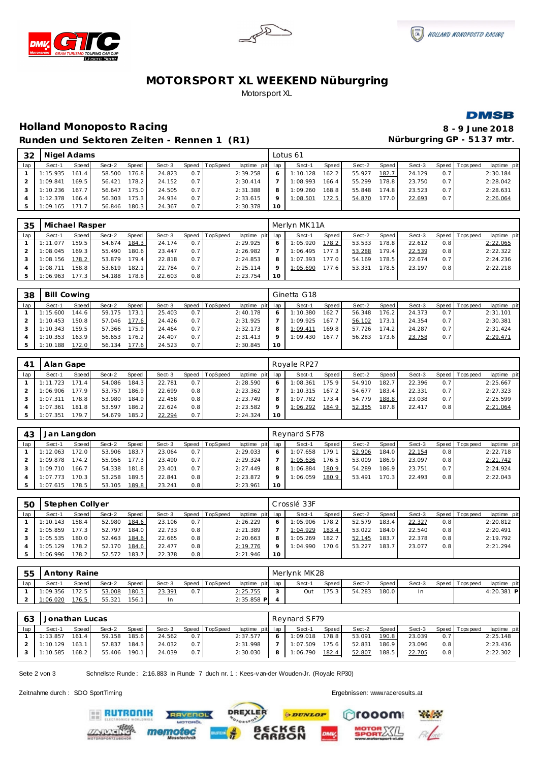





# **MOTORSPORT XL WEEKEND Nüburgring** Motorsport XL



## **Holland Monoposto Racing 8 - 9 June 2018** Runden und Sektoren Zeiten - Rennen 1 (R1) **Nürburgring GP - 5137 mtr.**

| 32  | Nigel Adams |       |        |       |        |       |          |                 |                 | Lotus 61 |       |        |       |        |     |                 |             |
|-----|-------------|-------|--------|-------|--------|-------|----------|-----------------|-----------------|----------|-------|--------|-------|--------|-----|-----------------|-------------|
| lap | Sect-1      | Speed | Sect-2 | Speed | Sect-3 | Speed | TopSpeed | laptime pit lap |                 | Sect-1   | Speed | Sect-2 | Speed | Sect-3 |     | Speed Tops peed | laptime pit |
|     | 1:15.935    | 161.4 | 58.500 | 176.8 | 24.823 | 0.7   |          | 2:39.258        |                 | 1:10.128 | 162.2 | 55.927 | 182.7 | 24.129 | 0.7 |                 | 2:30.184    |
|     | 1:09.841    | 169.5 | 56.421 | 178.2 | 24.152 | 0.7   |          | 2:30.414        |                 | 1:08.993 | 166.4 | 55.299 | 178.8 | 23.750 | 0.7 |                 | 2:28.042    |
|     | 1:10.236    | 167.7 | 56.647 | 175.0 | 24.505 | 0.7   |          | 2:31.388        | 8               | 1:09.260 | 168.8 | 55.848 | 174.8 | 23.523 | 0.7 |                 | 2:28.631    |
|     | 1:12.378    | 166.4 | 56.303 | 175.3 | 24.934 | 0.7   |          | 2:33.615        |                 | 1:08.501 | 172.5 | 54.870 | 177.0 | 22.693 | 0.7 |                 | 2:26.064    |
|     | 1:09.165    | 171   | 56.846 | 180.3 | 24.367 | 0.7   |          | 2:30.378        | 10 <sup>1</sup> |          |       |        |       |        |     |                 |             |

| 35  | Michael Rasper |        |        |       |        |     |                |             |         | Merlyn MK11A |       |        |       |        |     |                   |             |
|-----|----------------|--------|--------|-------|--------|-----|----------------|-------------|---------|--------------|-------|--------|-------|--------|-----|-------------------|-------------|
| lap | Sect-1         | Speed  | Sect-2 | Speed | Sect-3 |     | Speed TopSpeed | laptime pit | lap     | Sect-1       | Speed | Sect-2 | Speed | Sect-3 |     | Speed   Tops peed | laptime pit |
|     | 1:11.077       | 159.5  | 54.674 | 184.3 | 24.174 | 0.7 |                | 2:29.925    | 6       | 1:05.920     | 178.2 | 53.533 | '78.8 | 22.612 | 0.8 |                   | 2:22.065    |
|     | 1:08.045       | 169.3  | 55.490 | 180.6 | 23.447 | 0.7 |                | 2:26.982    |         | 1:06.495     | 177.3 | 53.288 | 179.4 | 22.539 | 0.8 |                   | 2:22.322    |
|     | 1:08.156       | 178.21 | 53.879 | 179.4 | 22.818 | 0.7 |                | 2:24.853    | 8       | 1:07.393     | 177.0 | 54.169 | 178.5 | 22.674 | 0.7 |                   | 2:24.236    |
|     | 1:08.711       | 158.8  | 53.619 | 182.1 | 22.784 | 0.7 |                | 2:25.114    | $\circ$ | 1:05.690     | 177.6 | 53.331 | 178.5 | 23.197 | 0.8 |                   | 2:22.218    |
|     | 1:06.963       | 177.3  | 54.188 | 178.8 | 22.603 | 0.8 |                | 2:23.754    | 10      |              |       |        |       |        |     |                   |             |

| 38  | <b>Bill Cowing</b> |       |        |       |        |     |                |             |         | Ginetta G18 |        |        |       |        |     |                 |             |
|-----|--------------------|-------|--------|-------|--------|-----|----------------|-------------|---------|-------------|--------|--------|-------|--------|-----|-----------------|-------------|
| lap | Sect-1             | Speed | Sect-2 | Speed | Sect-3 |     | Speed TopSpeed | laptime pit | lap     | Sect-1      | Speed  | Sect-2 | Speed | Sect-3 |     | Speed Tops peed | laptime pit |
|     | 1:15.600           | 144.6 | 59.175 | 173.1 | 25.403 | 0.7 |                | 2:40.178    | 6       | 1:10.380    | 162.7. | 56.348 | 176.2 | 24.373 | 0.7 |                 | 2:31.101    |
|     | 1:10.453           | 150.8 | 57.046 | 177.6 | 24.426 | 0.7 |                | 2:31.925    |         | 1:09.925    | 167.7. | 56.102 | 173.1 | 24.354 | 0.7 |                 | 2:30.381    |
|     | 1:10.343           | 159.5 | 57.366 | 175.9 | 24.464 | 0.7 |                | 2:32.173    | 8       | 1:09.411    | 169.81 | 57.726 | 174.2 | 24.287 | 0.7 |                 | 2:31.424    |
|     | 1:10.353           | 163.9 | 56.653 | 176.2 | 24.407 | 0.7 |                | 2:31.413    | $\circ$ | 1:09.430    | 167.7  | 56.283 | 173.6 | 23.758 | 0.7 |                 | 2:29.471    |
|     | 1:10.188           | 172.0 | 56.134 | 177.6 | 24.523 | 0.7 |                | 2:30.845    | 10      |             |        |        |       |        |     |                 |             |

| 4 <sup>1</sup> | Alan Gape |        |        |              |        |       |          |                 |    | Royale RP27 |       |        |       |        |         |           |             |
|----------------|-----------|--------|--------|--------------|--------|-------|----------|-----------------|----|-------------|-------|--------|-------|--------|---------|-----------|-------------|
| lap            | Sect-1    | Speed  | Sect-2 | <b>Speed</b> | Sect-3 | Speed | TopSpeed | laptime pit lap |    | Sect-1      | Speed | Sect-2 | Speed | Sect-3 | Speed I | Tops peed | laptime pit |
|                | 1:11.723  | 171.41 | 54.086 | 184.3        | 22.781 | 0.7   |          | 2:28.590        |    | 1:08.361    | 175.9 | 54.910 | 182.7 | 22.396 | 0.7     |           | 2:25.667    |
|                | 1:06.906  | 177.91 | 53.757 | 186.9        | 22.699 | 0.8   |          | 2:23.362        |    | 1:10.315    | 167.2 | 54.677 | 183.4 | 22.331 | 0.7     |           | 2:27.323    |
|                | 1:07.311  | 178.8  | 53.980 | 184.9        | 22.458 | 0.8   |          | 2:23.749        |    | 1:07.782    | 173.4 | 54.779 | 188.8 | 23.038 | 0.7     |           | 2:25.599    |
|                | 1:07.361  | 181.8  | 53.597 | 186.2        | 22.624 | 0.8   |          | 2:23.582        |    | 1:06.292    | 184.9 | 52.355 | 187.8 | 22.417 | 0.8     |           | 2:21.064    |
|                | 1:07.351  | 179.7  | 54.679 | 185.2        | 22.294 | 0.7   |          | 2:24.324        | 10 |             |       |        |       |        |         |           |             |

| 43  | Jan Langdon |              |        |       |        |       |          |                 |    | Reynard SF78 |         |        |       |        |                  |                |             |
|-----|-------------|--------------|--------|-------|--------|-------|----------|-----------------|----|--------------|---------|--------|-------|--------|------------------|----------------|-------------|
| lap | Sect-1      | <b>Speed</b> | Sect-2 | Speed | Sect-3 | Speed | TopSpeed | laptime pit lap |    | Sect-1       | Speed I | Sect-2 | Speed | Sect-3 |                  | Speed Topspeed | laptime pit |
|     | 1:12.063    | '72.0        | 53.906 | 183.7 | 23.064 | 0.7   |          | 2:29.033        |    | 1:07.658     | 179.1   | 52.906 | 184.0 | 22.154 | 0.8 <sub>1</sub> |                | 2:22.718    |
|     | 1:09.878    | $174.2$      | 55.956 | 177.3 | 23.490 | 0.7   |          | 2:29.324        |    | 1:05.636     | 176.5   | 53.009 | 186.9 | 23.097 | 0.8              |                | 2:21.742    |
|     | 1:09.710    | 166.7        | 54.338 | 181.8 | 23.401 | 0.7   |          | 2:27.449        | 8  | 1:06.884     | 180.9   | 54.289 | 186.9 | 23.751 | 0.7              |                | 2:24.924    |
|     | 1:07.773    | 170.3        | 53.258 | 189.5 | 22.841 | 0.8   |          | 2:23.872        |    | 1:06.059     | 180.9   | 53.491 | 170.3 | 22.493 | 0.8              |                | 2:22.043    |
|     | 1:07.615    | 178.5        | 53.105 | 189.8 | 23.241 | 0.8   |          | 2:23.961        | 10 |              |         |        |       |        |                  |                |             |

| 50  | Stephen Collyer |       |        |       |        |       |          |                 |         | Crosslé 33F |       |        |       |        |                  |                 |             |
|-----|-----------------|-------|--------|-------|--------|-------|----------|-----------------|---------|-------------|-------|--------|-------|--------|------------------|-----------------|-------------|
| lap | Sect-1          | Speed | Sect-2 | Speed | Sect-3 | Speed | TopSpeed | laptime pit lap |         | Sect-1      | Speed | Sect-2 | Speed | Sect-3 |                  | Speed Tops peed | laptime pit |
|     | 1:10.143        | 158.4 | 52.980 | 184.6 | 23.106 | 0.7   |          | 2:26.229        |         | 1:05.906    | 178.2 | 52.579 | 183.4 | 22.327 | 0.8              |                 | 2:20.812    |
|     | :05.859         | 177.3 | 52.797 | 184.0 | 22.733 | 0.8   |          | 2:21.389        |         | 1:04.929    | 183.4 | 53.022 | 184.0 | 22.540 | 0.8              |                 | 2:20.491    |
|     | 1:05.535        | 180.0 | 52.463 | 184.6 | 22.665 | 0.8   |          | 2:20.663        | 8       | 1:05.269    | 182.7 | 52.145 | 183.7 | 22.378 | 0.8 <sub>1</sub> |                 | 2:19.792    |
|     | : 05.129        | 178.2 | 52.170 | 184.6 | 22.477 | 0.8   |          | 2:19.776        | $\circ$ | 1:04.990    | 170.6 | 53.227 | 183.7 | 23.077 | 0.8              |                 | 2:21.294    |
|     | 1:06.996        | 178.2 | 52.572 | 183.7 | 22.378 | 0.8   |          | 2:21.946        | 10      |             |       |        |       |        |                  |                 |             |

| 55  | Antony Raine |       |        |       |        |       |          |                 | Merlynk MK28 |       |        |       |        |                 |              |
|-----|--------------|-------|--------|-------|--------|-------|----------|-----------------|--------------|-------|--------|-------|--------|-----------------|--------------|
| lap | Sect-1       | Speed | Sect-2 | Speed | Sect-3 | Speed | TopSpeed | laptime pit lap | Sect-1       | Speed | Sect-2 | Speed | Sect-3 | Speed Tops peed | laptime pit  |
|     | 1:09.356     | 172.5 | 53.008 | 180.3 | 23.391 | 0.7   |          | 2:25.755        | Out          | 175.3 | 54.283 | 180.0 |        |                 | $4:20.381$ P |
|     | 1:06.020     | 176.5 | 55.321 | 156.  | In     |       |          | $2:35.858$ P    |              |       |        |       |        |                 |              |

| 63  | Jonathan Lucas   |       |              |       |        |     |                |                 |                | Revnard SF79   |       |              |       |        |     |                       |             |
|-----|------------------|-------|--------------|-------|--------|-----|----------------|-----------------|----------------|----------------|-------|--------------|-------|--------|-----|-----------------------|-------------|
| lap | Sect-1           | Speed | Sect-2       | Speed | Sect-3 |     | Speed TopSpeed | laptime pit lap |                | Sect-1         | Speed | Sect-2 Speed |       |        |     | Sect-3 Speed Topspeed | laptime pit |
|     | 1:13.857         | 161.4 | 59.158       | 185.6 | 24.562 | 0.7 |                | 2:37.577        | 6 <sub>1</sub> | 1:09.018       | 178.8 | 53.091       | 190.8 | 23.039 | 0.7 |                       | 2:25.148    |
|     | 1:10.129         | 163.1 | 57.837       | 184.3 | 24.032 | 0.7 |                | 2:31.998        |                | 1:07.509 175.6 |       | 52.831       | 186.9 | 23.096 | 0.8 |                       | 2:23.436    |
|     | $1:10.585$ 168.2 |       | 55.406 190.1 |       | 24.039 | 0.7 |                | 2:30.030        | 81             | 1:06.790 182.4 |       | 52.807       | 188.5 | 22.705 | 0.8 |                       | 2:22.302    |

**PDUNLOP** 

€R<br>ON

**DREXLER** 

Seite 2 von 3 Schnellste Runde : 2:16.883 in Runde 7 duch nr. 1 : Kees-van-der Wouden-Jr. (Royale RP30)

**IVENDL** 

Zeitnahme durch : SDO SportTiming Ergebnissen: [www.raceresults.a](www.raceresults.at)t

**EE RUTRONIK** 

**Physical** ooom